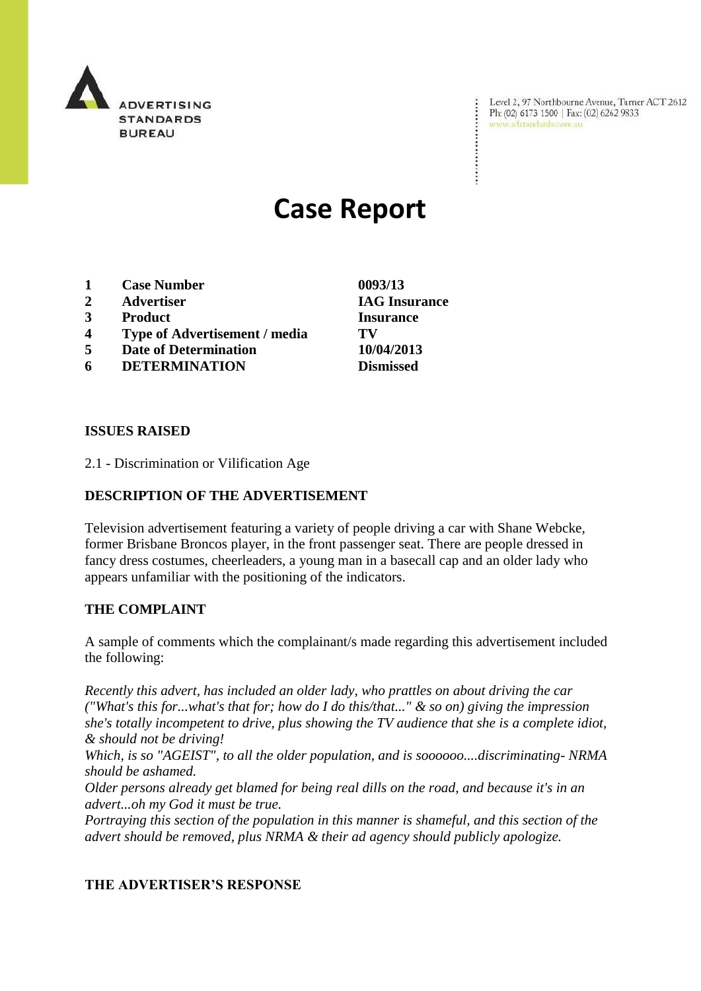

Level 2, 97 Northbourne Avenue, Turner ACT 2612 Ph: (02) 6173 1500 | Fax: (02) 6262 9833 www.adstandards.com.au

# **Case Report**

- **1 Case Number 0093/13**
- **2 Advertiser IAG Insurance**
- **3 Product Insurance**
- **4 Type of Advertisement / media TV**
- **5 Date of Determination 10/04/2013**
- **6 DETERMINATION Dismissed**

**ISSUES RAISED**

2.1 - Discrimination or Vilification Age

## **DESCRIPTION OF THE ADVERTISEMENT**

Television advertisement featuring a variety of people driving a car with Shane Webcke, former Brisbane Broncos player, in the front passenger seat. There are people dressed in fancy dress costumes, cheerleaders, a young man in a basecall cap and an older lady who appears unfamiliar with the positioning of the indicators.

#### **THE COMPLAINT**

A sample of comments which the complainant/s made regarding this advertisement included the following:

*Recently this advert, has included an older lady, who prattles on about driving the car ("What's this for...what's that for; how do I do this/that..." & so on) giving the impression she's totally incompetent to drive, plus showing the TV audience that she is a complete idiot, & should not be driving!*

*Which, is so "AGEIST", to all the older population, and is soooooo....discriminating- NRMA should be ashamed.*

*Older persons already get blamed for being real dills on the road, and because it's in an advert...oh my God it must be true.*

*Portraying this section of the population in this manner is shameful, and this section of the advert should be removed, plus NRMA & their ad agency should publicly apologize.*

#### **THE ADVERTISER'S RESPONSE**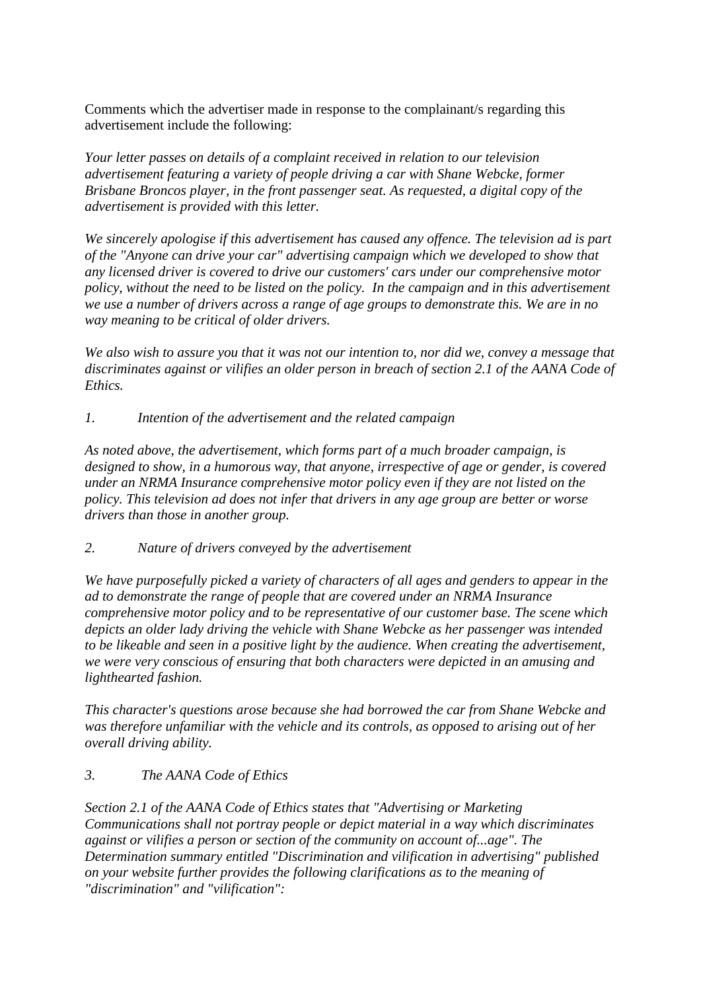Comments which the advertiser made in response to the complainant/s regarding this advertisement include the following:

*Your letter passes on details of a complaint received in relation to our television advertisement featuring a variety of people driving a car with Shane Webcke, former Brisbane Broncos player, in the front passenger seat. As requested, a digital copy of the advertisement is provided with this letter.*

*We sincerely apologise if this advertisement has caused any offence. The television ad is part of the "Anyone can drive your car" advertising campaign which we developed to show that any licensed driver is covered to drive our customers' cars under our comprehensive motor policy, without the need to be listed on the policy. In the campaign and in this advertisement we use a number of drivers across a range of age groups to demonstrate this. We are in no way meaning to be critical of older drivers.*

*We also wish to assure you that it was not our intention to, nor did we, convey a message that discriminates against or vilifies an older person in breach of section 2.1 of the AANA Code of Ethics.*

*1. Intention of the advertisement and the related campaign*

*As noted above, the advertisement, which forms part of a much broader campaign, is designed to show, in a humorous way, that anyone, irrespective of age or gender, is covered under an NRMA Insurance comprehensive motor policy even if they are not listed on the policy. This television ad does not infer that drivers in any age group are better or worse drivers than those in another group.*

*2. Nature of drivers conveyed by the advertisement*

*We have purposefully picked a variety of characters of all ages and genders to appear in the ad to demonstrate the range of people that are covered under an NRMA Insurance comprehensive motor policy and to be representative of our customer base. The scene which depicts an older lady driving the vehicle with Shane Webcke as her passenger was intended to be likeable and seen in a positive light by the audience. When creating the advertisement, we were very conscious of ensuring that both characters were depicted in an amusing and lighthearted fashion.* 

*This character's questions arose because she had borrowed the car from Shane Webcke and was therefore unfamiliar with the vehicle and its controls, as opposed to arising out of her overall driving ability.*

## *3. The AANA Code of Ethics*

*Section 2.1 of the AANA Code of Ethics states that "Advertising or Marketing Communications shall not portray people or depict material in a way which discriminates against or vilifies a person or section of the community on account of...age". The Determination summary entitled "Discrimination and vilification in advertising" published on your website further provides the following clarifications as to the meaning of "discrimination" and "vilification":*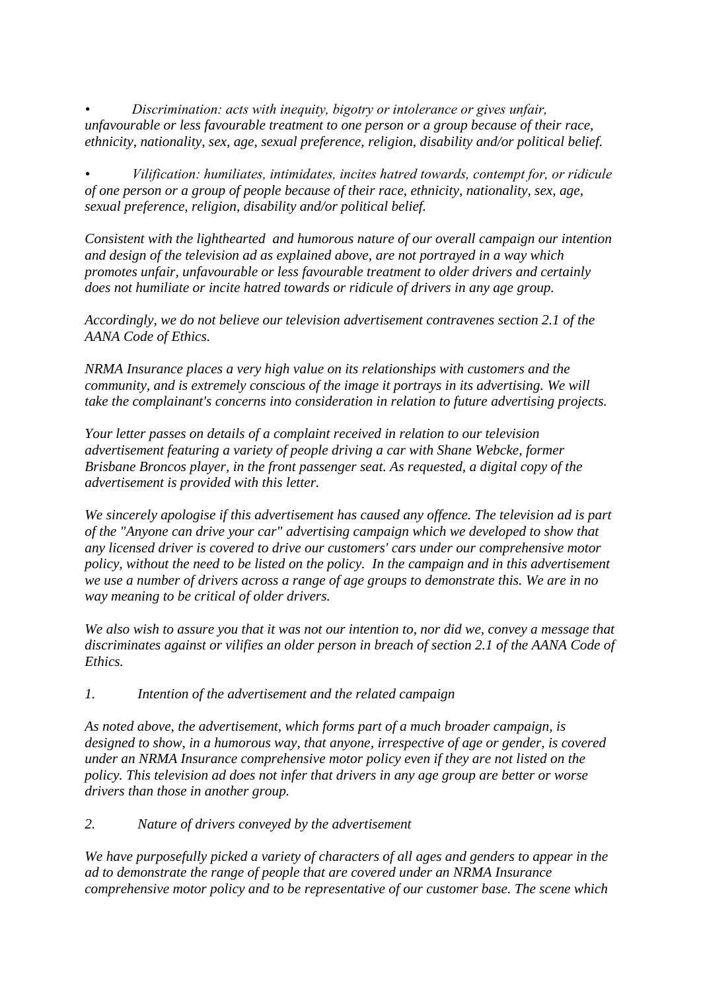*• Discrimination: acts with inequity, bigotry or intolerance or gives unfair, unfavourable or less favourable treatment to one person or a group because of their race, ethnicity, nationality, sex, age, sexual preference, religion, disability and/or political belief.* 

*• Vilification: humiliates, intimidates, incites hatred towards, contempt for, or ridicule of one person or a group of people because of their race, ethnicity, nationality, sex, age, sexual preference, religion, disability and/or political belief.* 

*Consistent with the lighthearted and humorous nature of our overall campaign our intention and design of the television ad as explained above, are not portrayed in a way which promotes unfair, unfavourable or less favourable treatment to older drivers and certainly does not humiliate or incite hatred towards or ridicule of drivers in any age group.* 

*Accordingly, we do not believe our television advertisement contravenes section 2.1 of the AANA Code of Ethics.*

*NRMA Insurance places a very high value on its relationships with customers and the community, and is extremely conscious of the image it portrays in its advertising. We will take the complainant's concerns into consideration in relation to future advertising projects.*

*Your letter passes on details of a complaint received in relation to our television advertisement featuring a variety of people driving a car with Shane Webcke, former Brisbane Broncos player, in the front passenger seat. As requested, a digital copy of the advertisement is provided with this letter.*

*We sincerely apologise if this advertisement has caused any offence. The television ad is part of the "Anyone can drive your car" advertising campaign which we developed to show that any licensed driver is covered to drive our customers' cars under our comprehensive motor policy, without the need to be listed on the policy. In the campaign and in this advertisement we use a number of drivers across a range of age groups to demonstrate this. We are in no way meaning to be critical of older drivers.*

*We also wish to assure you that it was not our intention to, nor did we, convey a message that discriminates against or vilifies an older person in breach of section 2.1 of the AANA Code of Ethics.*

*1. Intention of the advertisement and the related campaign*

*As noted above, the advertisement, which forms part of a much broader campaign, is designed to show, in a humorous way, that anyone, irrespective of age or gender, is covered under an NRMA Insurance comprehensive motor policy even if they are not listed on the policy. This television ad does not infer that drivers in any age group are better or worse drivers than those in another group.*

*2. Nature of drivers conveyed by the advertisement*

*We have purposefully picked a variety of characters of all ages and genders to appear in the ad to demonstrate the range of people that are covered under an NRMA Insurance comprehensive motor policy and to be representative of our customer base. The scene which*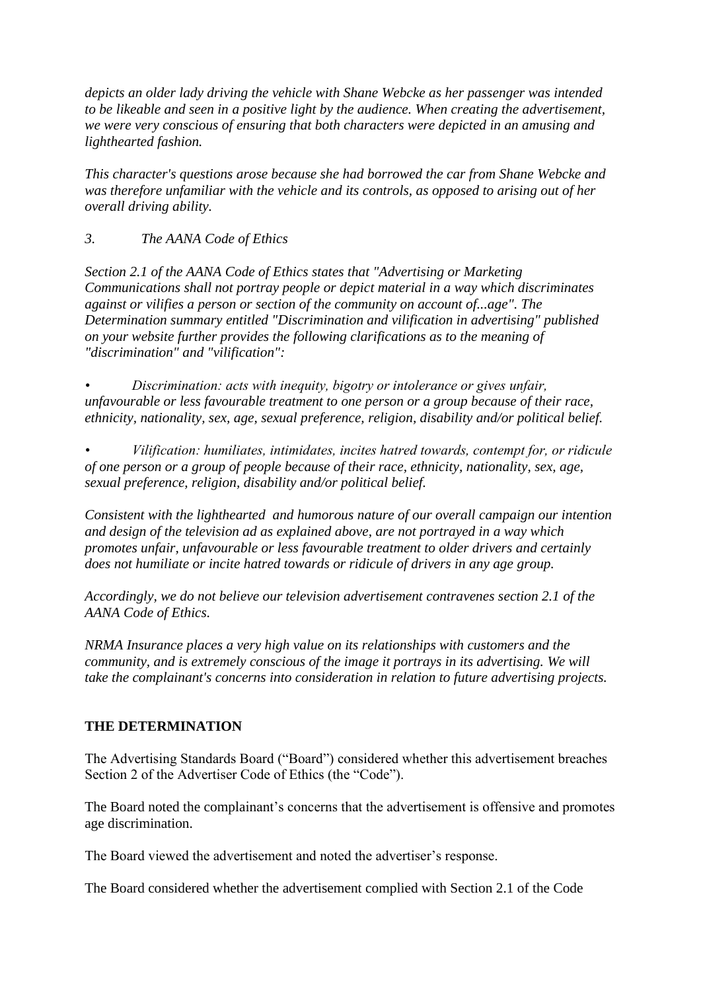*depicts an older lady driving the vehicle with Shane Webcke as her passenger was intended to be likeable and seen in a positive light by the audience. When creating the advertisement, we were very conscious of ensuring that both characters were depicted in an amusing and lighthearted fashion.* 

*This character's questions arose because she had borrowed the car from Shane Webcke and was therefore unfamiliar with the vehicle and its controls, as opposed to arising out of her overall driving ability.*

*3. The AANA Code of Ethics* 

*Section 2.1 of the AANA Code of Ethics states that "Advertising or Marketing Communications shall not portray people or depict material in a way which discriminates against or vilifies a person or section of the community on account of...age". The Determination summary entitled "Discrimination and vilification in advertising" published on your website further provides the following clarifications as to the meaning of "discrimination" and "vilification":*

*• Discrimination: acts with inequity, bigotry or intolerance or gives unfair, unfavourable or less favourable treatment to one person or a group because of their race, ethnicity, nationality, sex, age, sexual preference, religion, disability and/or political belief.* 

*• Vilification: humiliates, intimidates, incites hatred towards, contempt for, or ridicule of one person or a group of people because of their race, ethnicity, nationality, sex, age, sexual preference, religion, disability and/or political belief.* 

*Consistent with the lighthearted and humorous nature of our overall campaign our intention and design of the television ad as explained above, are not portrayed in a way which promotes unfair, unfavourable or less favourable treatment to older drivers and certainly does not humiliate or incite hatred towards or ridicule of drivers in any age group.* 

*Accordingly, we do not believe our television advertisement contravenes section 2.1 of the AANA Code of Ethics.*

*NRMA Insurance places a very high value on its relationships with customers and the community, and is extremely conscious of the image it portrays in its advertising. We will take the complainant's concerns into consideration in relation to future advertising projects.*

# **THE DETERMINATION**

The Advertising Standards Board ("Board") considered whether this advertisement breaches Section 2 of the Advertiser Code of Ethics (the "Code").

The Board noted the complainant's concerns that the advertisement is offensive and promotes age discrimination.

The Board viewed the advertisement and noted the advertiser's response.

The Board considered whether the advertisement complied with Section 2.1 of the Code